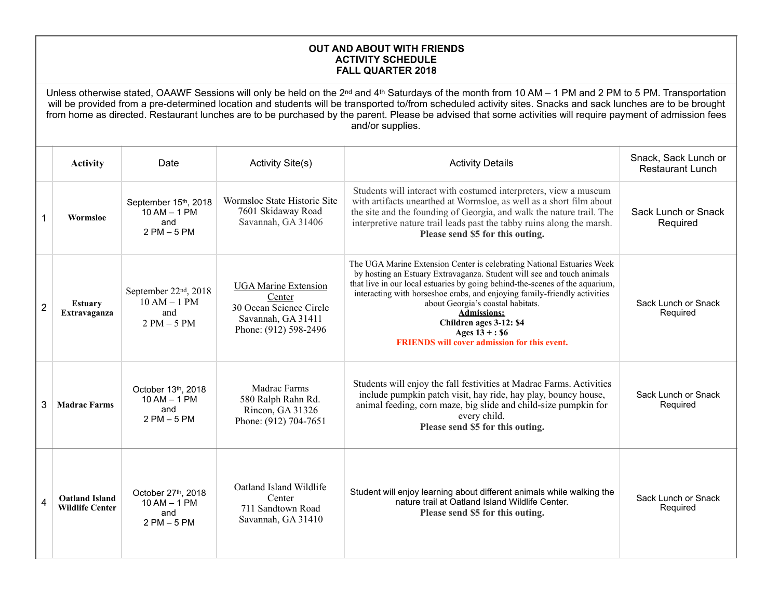## **OUT AND ABOUT WITH FRIENDS ACTIVITY SCHEDULE FALL QUARTER 2018**

Unless otherwise stated, OAAWF Sessions will only be held on the 2<sup>nd</sup> and 4<sup>th</sup> Saturdays of the month from 10 AM – 1 PM and 2 PM to 5 PM. Transportation will be provided from a pre-determined location and students will be transported to/from scheduled activity sites. Snacks and sack lunches are to be brought from home as directed. Restaurant lunches are to be purchased by the parent. Please be advised that some activities will require payment of admission fees and/or supplies.

|                | <b>Activity</b>                                 | Date                                                                        | <b>Activity Site(s)</b>                                                                                         | <b>Activity Details</b>                                                                                                                                                                                                                                                                                                                                                                                                                                                 | Snack, Sack Lunch or<br><b>Restaurant Lunch</b> |
|----------------|-------------------------------------------------|-----------------------------------------------------------------------------|-----------------------------------------------------------------------------------------------------------------|-------------------------------------------------------------------------------------------------------------------------------------------------------------------------------------------------------------------------------------------------------------------------------------------------------------------------------------------------------------------------------------------------------------------------------------------------------------------------|-------------------------------------------------|
|                | Wormsloe                                        | September 15th, 2018<br>$10$ AM $-$ 1 PM<br>and<br>$2$ PM $-5$ PM           | Wormsloe State Historic Site<br>7601 Skidaway Road<br>Savannah, GA 31406                                        | Students will interact with costumed interpreters, view a museum<br>with artifacts unearthed at Wormsloe, as well as a short film about<br>the site and the founding of Georgia, and walk the nature trail. The<br>interpretive nature trail leads past the tabby ruins along the marsh.<br>Please send \$5 for this outing.                                                                                                                                            | Sack Lunch or Snack<br>Required                 |
| $\overline{2}$ | <b>Estuary</b><br>Extravaganza                  | September 22 <sup>nd</sup> , 2018<br>$10 AM - 1 PM$<br>and<br>$2 PM - 5 PM$ | <b>UGA Marine Extension</b><br>Center<br>30 Ocean Science Circle<br>Savannah, GA 31411<br>Phone: (912) 598-2496 | The UGA Marine Extension Center is celebrating National Estuaries Week<br>by hosting an Estuary Extravaganza. Student will see and touch animals<br>that live in our local estuaries by going behind-the-scenes of the aquarium,<br>interacting with horseshoe crabs, and enjoying family-friendly activities<br>about Georgia's coastal habitats.<br><b>Admissions:</b><br>Children ages 3-12: \$4<br>Ages $13 + : $6$<br>FRIENDS will cover admission for this event. | Sack Lunch or Snack<br>Required                 |
| 3              | <b>Madrac Farms</b>                             | October 13th, 2018<br>$10 AM - 1 PM$<br>and<br>$2$ PM $-5$ PM               | <b>Madrac Farms</b><br>580 Ralph Rahn Rd.<br>Rincon, GA 31326<br>Phone: (912) 704-7651                          | Students will enjoy the fall festivities at Madrac Farms. Activities<br>include pumpkin patch visit, hay ride, hay play, bouncy house,<br>animal feeding, corn maze, big slide and child-size pumpkin for<br>every child.<br>Please send \$5 for this outing.                                                                                                                                                                                                           | Sack Lunch or Snack<br>Required                 |
| 4              | <b>Oatland Island</b><br><b>Wildlife Center</b> | October 27th, 2018<br>10 AM - 1 PM<br>and<br>$2$ PM $-5$ PM                 | Oatland Island Wildlife<br>Center<br>711 Sandtown Road<br>Savannah, GA 31410                                    | Student will enjoy learning about different animals while walking the<br>nature trail at Oatland Island Wildlife Center.<br>Please send \$5 for this outing.                                                                                                                                                                                                                                                                                                            | Sack Lunch or Snack<br>Required                 |